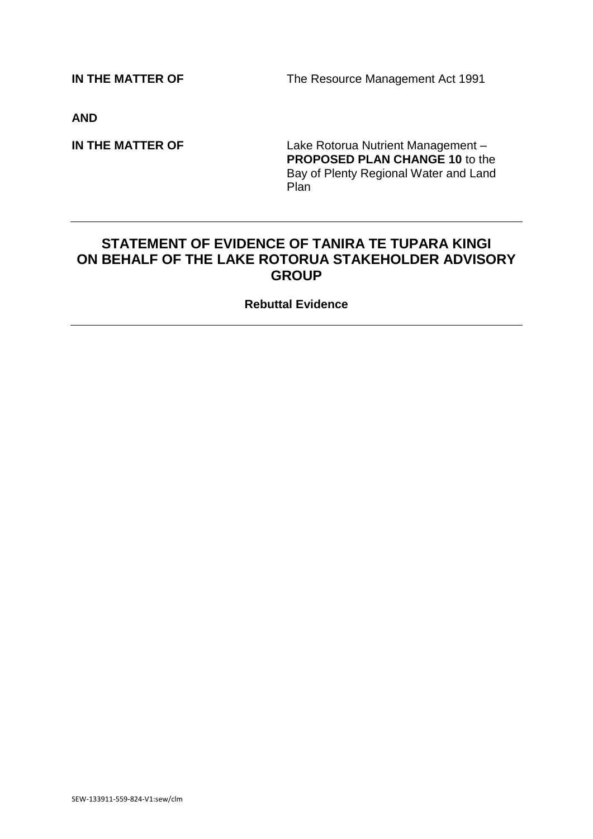**IN THE MATTER OF The Resource Management Act 1991** 

**AND**

**IN THE MATTER OF Lake Rotorua Nutrient Management – PROPOSED PLAN CHANGE 10** to the Bay of Plenty Regional Water and Land **Plan** 

# **STATEMENT OF EVIDENCE OF TANIRA TE TUPARA KINGI ON BEHALF OF THE LAKE ROTORUA STAKEHOLDER ADVISORY GROUP**

**Rebuttal Evidence**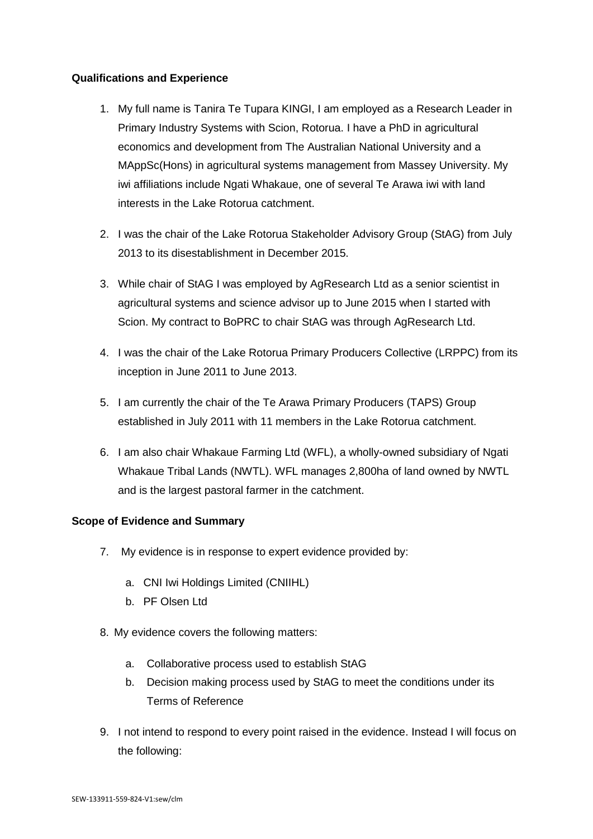## **Qualifications and Experience**

- 1. My full name is Tanira Te Tupara KINGI, I am employed as a Research Leader in Primary Industry Systems with Scion, Rotorua. I have a PhD in agricultural economics and development from The Australian National University and a MAppSc(Hons) in agricultural systems management from Massey University. My iwi affiliations include Ngati Whakaue, one of several Te Arawa iwi with land interests in the Lake Rotorua catchment.
- 2. I was the chair of the Lake Rotorua Stakeholder Advisory Group (StAG) from July 2013 to its disestablishment in December 2015.
- 3. While chair of StAG I was employed by AgResearch Ltd as a senior scientist in agricultural systems and science advisor up to June 2015 when I started with Scion. My contract to BoPRC to chair StAG was through AgResearch Ltd.
- 4. I was the chair of the Lake Rotorua Primary Producers Collective (LRPPC) from its inception in June 2011 to June 2013.
- 5. I am currently the chair of the Te Arawa Primary Producers (TAPS) Group established in July 2011 with 11 members in the Lake Rotorua catchment.
- 6. I am also chair Whakaue Farming Ltd (WFL), a wholly-owned subsidiary of Ngati Whakaue Tribal Lands (NWTL). WFL manages 2,800ha of land owned by NWTL and is the largest pastoral farmer in the catchment.

## **Scope of Evidence and Summary**

- 7. My evidence is in response to expert evidence provided by:
	- a. CNI Iwi Holdings Limited (CNIIHL)
	- b. PF Olsen Ltd.
- 8. My evidence covers the following matters:
	- a. Collaborative process used to establish StAG
	- b. Decision making process used by StAG to meet the conditions under its Terms of Reference
- 9. I not intend to respond to every point raised in the evidence. Instead I will focus on the following: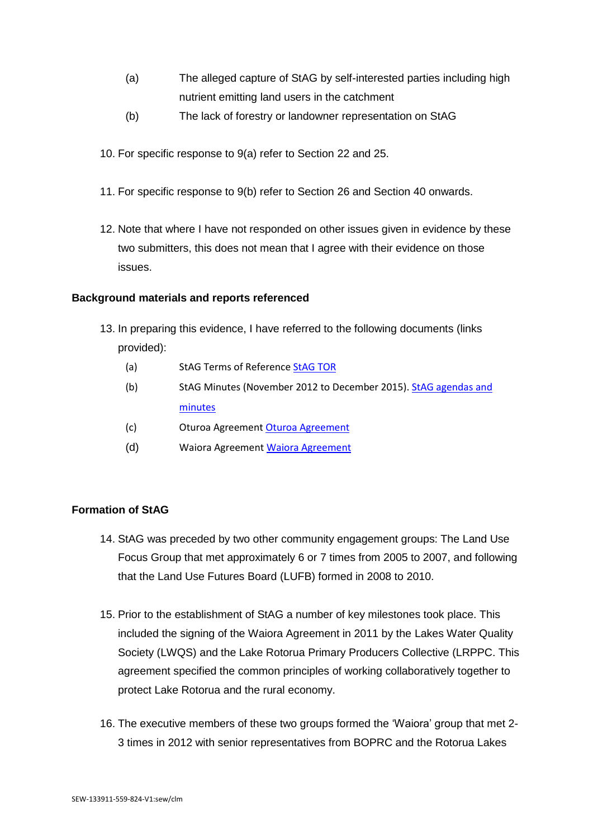- (a) The alleged capture of StAG by self-interested parties including high nutrient emitting land users in the catchment
- (b) The lack of forestry or landowner representation on StAG
- 10. For specific response to 9(a) refer to Section [22](#page-3-0) and 25.
- 11. For specific response to 9(b) refer to Section [26](#page-4-0) and Section [40](#page-6-0) onwards.
- 12. Note that where I have not responded on other issues given in evidence by these two submitters, this does not mean that I agree with their evidence on those issues.

#### **Background materials and reports referenced**

- 13. In preparing this evidence, I have referred to the following documents (links provided):
	- (a) StAG Terms of Referenc[e StAG TOR](http://www.rotorualakes.co.nz/vdb/document/852)
	- (b) StAG Minutes (November 2012 to December 2015)[. StAG agendas and](http://www.rotorualakes.co.nz/lake-rotorua-stakeholder-advisory-group-stag)  [minutes](http://www.rotorualakes.co.nz/lake-rotorua-stakeholder-advisory-group-stag)
	- (c) Oturoa Agreement [Oturoa Agreement](http://www.rotoruafarmers.org.nz/oturoa-agreement/)
	- (d) Waiora Agreement [Waiora Agreement](http://www.rotoruafarmers.org.nz/waiora-agreement/)

## **Formation of StAG**

- 14. StAG was preceded by two other community engagement groups: The Land Use Focus Group that met approximately 6 or 7 times from 2005 to 2007, and following that the Land Use Futures Board (LUFB) formed in 2008 to 2010.
- 15. Prior to the establishment of StAG a number of key milestones took place. This included the signing of the Waiora Agreement in 2011 by the Lakes Water Quality Society (LWQS) and the Lake Rotorua Primary Producers Collective (LRPPC. This agreement specified the common principles of working collaboratively together to protect Lake Rotorua and the rural economy.
- 16. The executive members of these two groups formed the 'Waiora' group that met 2- 3 times in 2012 with senior representatives from BOPRC and the Rotorua Lakes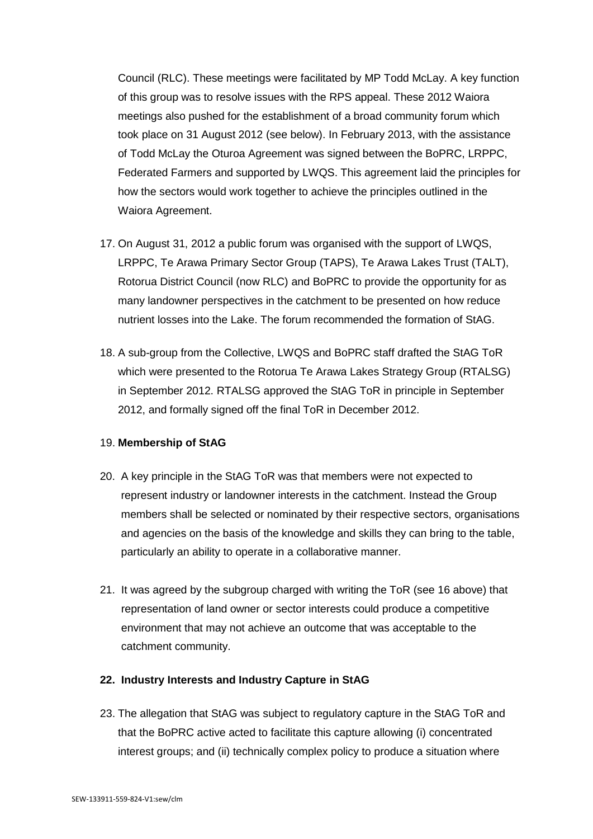Council (RLC). These meetings were facilitated by MP Todd McLay. A key function of this group was to resolve issues with the RPS appeal. These 2012 Waiora meetings also pushed for the establishment of a broad community forum which took place on 31 August 2012 (see below). In February 2013, with the assistance of Todd McLay the Oturoa Agreement was signed between the BoPRC, LRPPC, Federated Farmers and supported by LWQS. This agreement laid the principles for how the sectors would work together to achieve the principles outlined in the Waiora Agreement.

- 17. On August 31, 2012 a public forum was organised with the support of LWQS, LRPPC, Te Arawa Primary Sector Group (TAPS), Te Arawa Lakes Trust (TALT), Rotorua District Council (now RLC) and BoPRC to provide the opportunity for as many landowner perspectives in the catchment to be presented on how reduce nutrient losses into the Lake. The forum recommended the formation of StAG.
- 18. A sub-group from the Collective, LWQS and BoPRC staff drafted the StAG ToR which were presented to the Rotorua Te Arawa Lakes Strategy Group (RTALSG) in September 2012. RTALSG approved the StAG ToR in principle in September 2012, and formally signed off the final ToR in December 2012.

## 19. **Membership of StAG**

- 20. A key principle in the StAG ToR was that members were not expected to represent industry or landowner interests in the catchment. Instead the Group members shall be selected or nominated by their respective sectors, organisations and agencies on the basis of the knowledge and skills they can bring to the table, particularly an ability to operate in a collaborative manner.
- 21. It was agreed by the subgroup charged with writing the ToR (see 16 above) that representation of land owner or sector interests could produce a competitive environment that may not achieve an outcome that was acceptable to the catchment community.

## <span id="page-3-0"></span>**22. Industry Interests and Industry Capture in StAG**

23. The allegation that StAG was subject to regulatory capture in the StAG ToR and that the BoPRC active acted to facilitate this capture allowing (i) concentrated interest groups; and (ii) technically complex policy to produce a situation where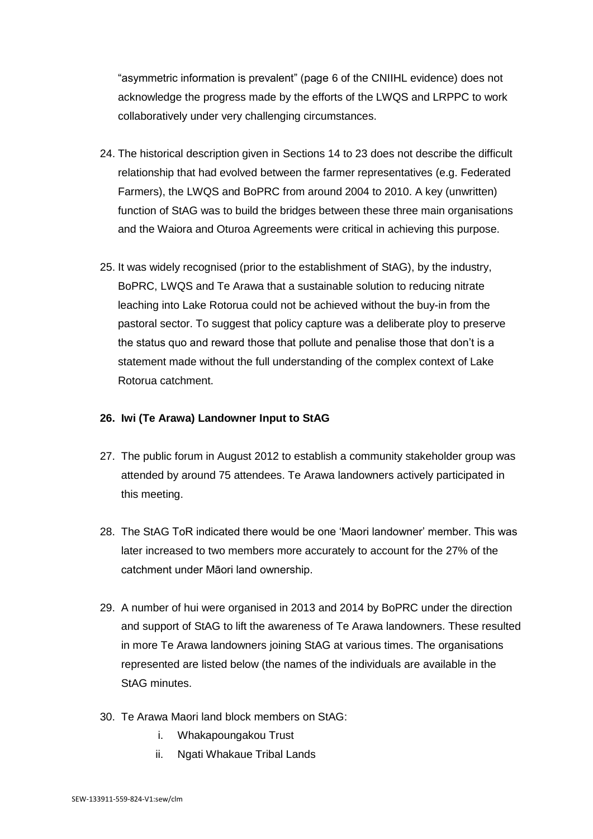"asymmetric information is prevalent" (page 6 of the CNIIHL evidence) does not acknowledge the progress made by the efforts of the LWQS and LRPPC to work collaboratively under very challenging circumstances.

- 24. The historical description given in Sections 14 to 23 does not describe the difficult relationship that had evolved between the farmer representatives (e.g. Federated Farmers), the LWQS and BoPRC from around 2004 to 2010. A key (unwritten) function of StAG was to build the bridges between these three main organisations and the Waiora and Oturoa Agreements were critical in achieving this purpose.
- 25. It was widely recognised (prior to the establishment of StAG), by the industry, BoPRC, LWQS and Te Arawa that a sustainable solution to reducing nitrate leaching into Lake Rotorua could not be achieved without the buy-in from the pastoral sector. To suggest that policy capture was a deliberate ploy to preserve the status quo and reward those that pollute and penalise those that don't is a statement made without the full understanding of the complex context of Lake Rotorua catchment.

#### <span id="page-4-0"></span>**26. Iwi (Te Arawa) Landowner Input to StAG**

- 27. The public forum in August 2012 to establish a community stakeholder group was attended by around 75 attendees. Te Arawa landowners actively participated in this meeting.
- 28. The StAG ToR indicated there would be one 'Maori landowner' member. This was later increased to two members more accurately to account for the 27% of the catchment under Māori land ownership.
- 29. A number of hui were organised in 2013 and 2014 by BoPRC under the direction and support of StAG to lift the awareness of Te Arawa landowners. These resulted in more Te Arawa landowners joining StAG at various times. The organisations represented are listed below (the names of the individuals are available in the StAG minutes.
- 30. Te Arawa Maori land block members on StAG:
	- i. Whakapoungakou Trust
	- ii. Ngati Whakaue Tribal Lands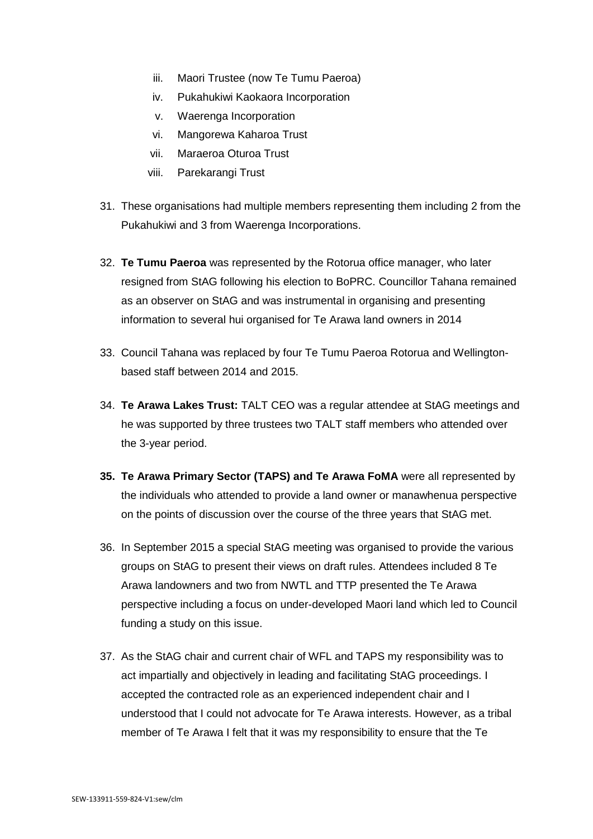- iii. Maori Trustee (now Te Tumu Paeroa)
- iv. Pukahukiwi Kaokaora Incorporation
- v. Waerenga Incorporation
- vi. Mangorewa Kaharoa Trust
- vii. Maraeroa Oturoa Trust
- viii. Parekarangi Trust
- 31. These organisations had multiple members representing them including 2 from the Pukahukiwi and 3 from Waerenga Incorporations.
- 32. **Te Tumu Paeroa** was represented by the Rotorua office manager, who later resigned from StAG following his election to BoPRC. Councillor Tahana remained as an observer on StAG and was instrumental in organising and presenting information to several hui organised for Te Arawa land owners in 2014
- 33. Council Tahana was replaced by four Te Tumu Paeroa Rotorua and Wellingtonbased staff between 2014 and 2015.
- 34. **Te Arawa Lakes Trust:** TALT CEO was a regular attendee at StAG meetings and he was supported by three trustees two TALT staff members who attended over the 3-year period.
- **35. Te Arawa Primary Sector (TAPS) and Te Arawa FoMA** were all represented by the individuals who attended to provide a land owner or manawhenua perspective on the points of discussion over the course of the three years that StAG met.
- 36. In September 2015 a special StAG meeting was organised to provide the various groups on StAG to present their views on draft rules. Attendees included 8 Te Arawa landowners and two from NWTL and TTP presented the Te Arawa perspective including a focus on under-developed Maori land which led to Council funding a study on this issue.
- 37. As the StAG chair and current chair of WFL and TAPS my responsibility was to act impartially and objectively in leading and facilitating StAG proceedings. I accepted the contracted role as an experienced independent chair and I understood that I could not advocate for Te Arawa interests. However, as a tribal member of Te Arawa I felt that it was my responsibility to ensure that the Te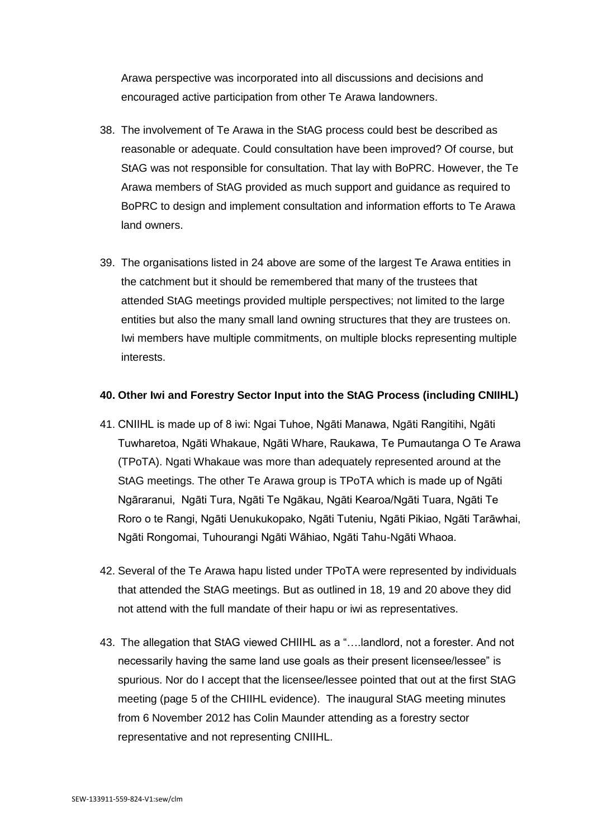Arawa perspective was incorporated into all discussions and decisions and encouraged active participation from other Te Arawa landowners.

- 38. The involvement of Te Arawa in the StAG process could best be described as reasonable or adequate. Could consultation have been improved? Of course, but StAG was not responsible for consultation. That lay with BoPRC. However, the Te Arawa members of StAG provided as much support and guidance as required to BoPRC to design and implement consultation and information efforts to Te Arawa land owners.
- 39. The organisations listed in 24 above are some of the largest Te Arawa entities in the catchment but it should be remembered that many of the trustees that attended StAG meetings provided multiple perspectives; not limited to the large entities but also the many small land owning structures that they are trustees on. Iwi members have multiple commitments, on multiple blocks representing multiple interests.

#### <span id="page-6-0"></span>**40. Other Iwi and Forestry Sector Input into the StAG Process (including CNIIHL)**

- 41. CNIIHL is made up of 8 iwi: Ngai Tuhoe, Ngāti Manawa, Ngāti Rangitihi, Ngāti Tuwharetoa, Ngāti Whakaue, Ngāti Whare, Raukawa, Te Pumautanga O Te Arawa (TPoTA). Ngati Whakaue was more than adequately represented around at the StAG meetings. The other Te Arawa group is TPoTA which is made up of Ngāti Ngāraranui, Ngāti Tura, Ngāti Te Ngākau, Ngāti Kearoa/Ngāti Tuara, Ngāti Te Roro o te Rangi, Ngāti Uenukukopako, Ngāti Tuteniu, Ngāti Pikiao, Ngāti Tarāwhai, Ngāti Rongomai, Tuhourangi Ngāti Wāhiao, Ngāti Tahu-Ngāti Whaoa.
- 42. Several of the Te Arawa hapu listed under TPoTA were represented by individuals that attended the StAG meetings. But as outlined in 18, 19 and 20 above they did not attend with the full mandate of their hapu or iwi as representatives.
- 43. The allegation that StAG viewed CHIIHL as a "….landlord, not a forester. And not necessarily having the same land use goals as their present licensee/lessee" is spurious. Nor do I accept that the licensee/lessee pointed that out at the first StAG meeting (page 5 of the CHIIHL evidence). The inaugural StAG meeting minutes from 6 November 2012 has Colin Maunder attending as a forestry sector representative and not representing CNIIHL.